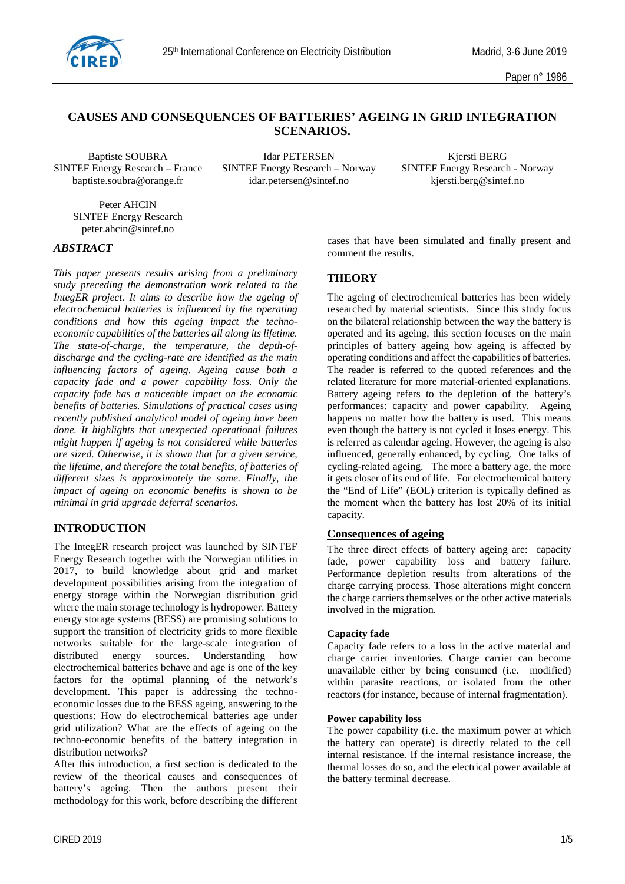

# **CAUSES AND CONSEQUENCES OF BATTERIES' AGEING IN GRID INTEGRATION SCENARIOS.**

baptiste.soubra@orange.fr

Baptiste SOUBRA Idar PETERSEN Kjersti BERG<br>SINTEF Energy Research – France SINTEF Energy Research – Norway SINTEF Energy Research - Norway SINTEF Energy Research – Norway SINTEF Energy Research - Norway idar.petersen@sintef.no kiersti.berg@sintef.no

Peter AHCIN SINTEF Energy Research peter.ahcin@sintef.no

### *ABSTRACT*

*This paper presents results arising from a preliminary study preceding the demonstration work related to the IntegER project. It aims to describe how the ageing of electrochemical batteries is influenced by the operating conditions and how this ageing impact the technoeconomic capabilities of the batteries all along its lifetime. The state-of-charge, the temperature, the depth-ofdischarge and the cycling-rate are identified as the main influencing factors of ageing. Ageing cause both a capacity fade and a power capability loss. Only the capacity fade has a noticeable impact on the economic benefits of batteries. Simulations of practical cases using recently published analytical model of ageing have been done. It highlights that unexpected operational failures might happen if ageing is not considered while batteries are sized. Otherwise, it is shown that for a given service, the lifetime, and therefore the total benefits, of batteries of different sizes is approximately the same. Finally, the impact of ageing on economic benefits is shown to be minimal in grid upgrade deferral scenarios.*

### **INTRODUCTION**

The IntegER research project was launched by SINTEF Energy Research together with the Norwegian utilities in 2017, to build knowledge about grid and market development possibilities arising from the integration of energy storage within the Norwegian distribution grid where the main storage technology is hydropower. Battery energy storage systems (BESS) are promising solutions to support the transition of electricity grids to more flexible networks suitable for the large-scale integration of distributed energy sources. Understanding how sources. Understanding how electrochemical batteries behave and age is one of the key factors for the optimal planning of the network's development. This paper is addressing the technoeconomic losses due to the BESS ageing, answering to the questions: How do electrochemical batteries age under grid utilization? What are the effects of ageing on the techno-economic benefits of the battery integration in distribution networks?

After this introduction, a first section is dedicated to the review of the theorical causes and consequences of battery's ageing. Then the authors present their methodology for this work, before describing the different cases that have been simulated and finally present and comment the results.

# **THEORY**

The ageing of electrochemical batteries has been widely researched by material scientists. Since this study focus on the bilateral relationship between the way the battery is operated and its ageing, this section focuses on the main principles of battery ageing how ageing is affected by operating conditions and affect the capabilities of batteries. The reader is referred to the quoted references and the related literature for more material-oriented explanations. Battery ageing refers to the depletion of the battery's performances: capacity and power capability. Ageing happens no matter how the battery is used. This means even though the battery is not cycled it loses energy. This is referred as calendar ageing. However, the ageing is also influenced, generally enhanced, by cycling. One talks of cycling-related ageing. The more a battery age, the more it gets closer of its end of life. For electrochemical battery the "End of Life" (EOL) criterion is typically defined as the moment when the battery has lost 20% of its initial capacity.

# **Consequences of ageing**

The three direct effects of battery ageing are: capacity fade, power capability loss and battery failure. Performance depletion results from alterations of the charge carrying process. Those alterations might concern the charge carriers themselves or the other active materials involved in the migration.

#### **Capacity fade**

Capacity fade refers to a loss in the active material and charge carrier inventories. Charge carrier can become unavailable either by being consumed (i.e. modified) within parasite reactions, or isolated from the other reactors (for instance, because of internal fragmentation).

#### **Power capability loss**

The power capability (i.e. the maximum power at which the battery can operate) is directly related to the cell internal resistance. If the internal resistance increase, the thermal losses do so, and the electrical power available at the battery terminal decrease.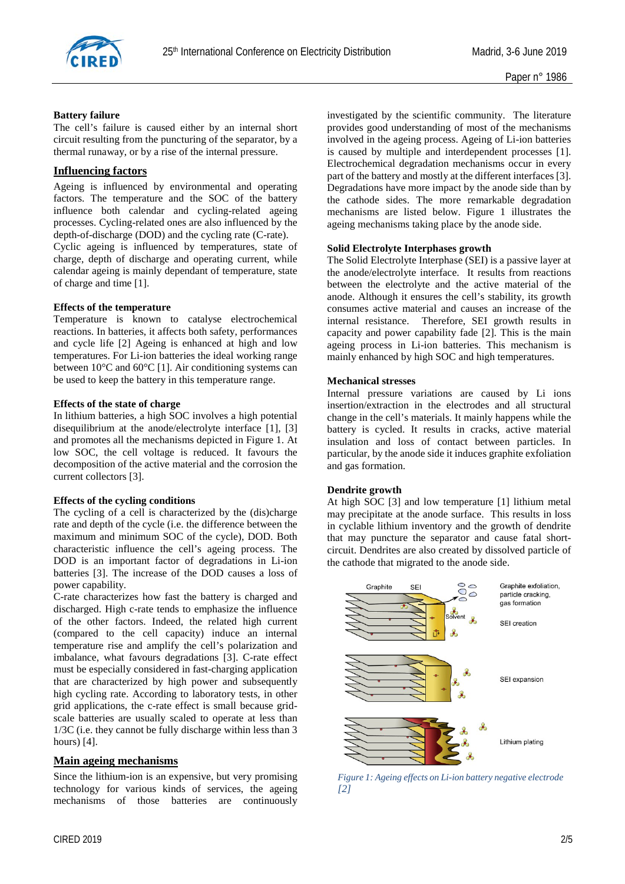

#### **Battery failure**

The cell's failure is caused either by an internal short circuit resulting from the puncturing of the separator, by a thermal runaway, or by a rise of the internal pressure.

# **Influencing factors**

Ageing is influenced by environmental and operating factors. The temperature and the SOC of the battery influence both calendar and cycling-related ageing processes. Cycling-related ones are also influenced by the depth-of-discharge (DOD) and the cycling rate (C-rate). Cyclic ageing is influenced by temperatures, state of charge, depth of discharge and operating current, while calendar ageing is mainly dependant of temperature, state of charge and time [1].

#### **Effects of the temperature**

Temperature is known to catalyse electrochemical reactions. In batteries, it affects both safety, performances and cycle life [2] Ageing is enhanced at high and low temperatures. For Li-ion batteries the ideal working range between 10°C and 60°C [1]. Air conditioning systems can be used to keep the battery in this temperature range.

#### **Effects of the state of charge**

In lithium batteries, a high SOC involves a high potential disequilibrium at the anode/electrolyte interface [1], [3] and promotes all the mechanisms depicted in [Figure 1.](#page-1-0) At low SOC, the cell voltage is reduced. It favours the decomposition of the active material and the corrosion the current collectors [3].

### **Effects of the cycling conditions**

The cycling of a cell is characterized by the (dis)charge rate and depth of the cycle (i.e. the difference between the maximum and minimum SOC of the cycle), DOD. Both characteristic influence the cell's ageing process. The DOD is an important factor of degradations in Li-ion batteries [3]. The increase of the DOD causes a loss of power capability.

C-rate characterizes how fast the battery is charged and discharged. High c-rate tends to emphasize the influence of the other factors. Indeed, the related high current (compared to the cell capacity) induce an internal temperature rise and amplify the cell's polarization and imbalance, what favours degradations [3]. C-rate effect must be especially considered in fast-charging application that are characterized by high power and subsequently high cycling rate. According to laboratory tests, in other grid applications, the c-rate effect is small because gridscale batteries are usually scaled to operate at less than 1/3C (i.e. they cannot be fully discharge within less than 3 hours) [4].

### **Main ageing mechanisms**

Since the lithium-ion is an expensive, but very promising technology for various kinds of services, the ageing mechanisms of those batteries are continuously investigated by the scientific community. The literature provides good understanding of most of the mechanisms involved in the ageing process. Ageing of Li-ion batteries is caused by multiple and interdependent processes [1]. Electrochemical degradation mechanisms occur in every part of the battery and mostly at the different interfaces [3]. Degradations have more impact by the anode side than by the cathode sides. The more remarkable degradation mechanisms are listed below. [Figure 1](#page-1-0) illustrates the ageing mechanisms taking place by the anode side.

#### **Solid Electrolyte Interphases growth**

The Solid Electrolyte Interphase (SEI) is a passive layer at the anode/electrolyte interface. It results from reactions between the electrolyte and the active material of the anode. Although it ensures the cell's stability, its growth consumes active material and causes an increase of the internal resistance. Therefore, SEI growth results in capacity and power capability fade [2]. This is the main ageing process in Li-ion batteries. This mechanism is mainly enhanced by high SOC and high temperatures.

#### **Mechanical stresses**

Internal pressure variations are caused by Li ions insertion/extraction in the electrodes and all structural change in the cell's materials. It mainly happens while the battery is cycled. It results in cracks, active material insulation and loss of contact between particles. In particular, by the anode side it induces graphite exfoliation and gas formation.

#### **Dendrite growth**

At high SOC [3] and low temperature [1] lithium metal may precipitate at the anode surface. This results in loss in cyclable lithium inventory and the growth of dendrite that may puncture the separator and cause fatal shortcircuit. Dendrites are also created by dissolved particle of the cathode that migrated to the anode side.



<span id="page-1-0"></span>*Figure 1: Ageing effects on Li-ion battery negative electrode [2]*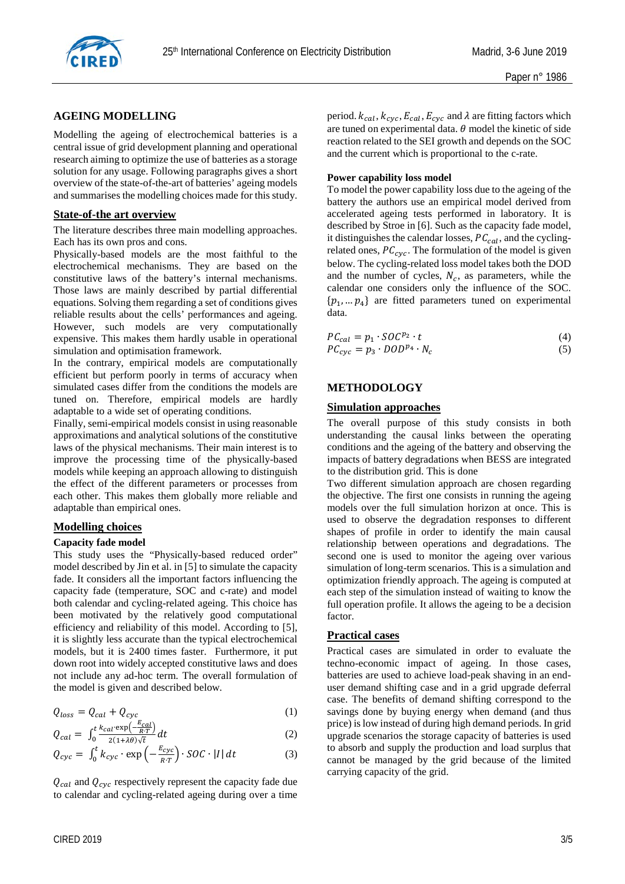

# **AGEING MODELLING**

Modelling the ageing of electrochemical batteries is a central issue of grid development planning and operational research aiming to optimize the use of batteries as a storage solution for any usage. Following paragraphs gives a short overview of the state-of-the-art of batteries' ageing models and summarises the modelling choices made for this study.

#### **State-of-the art overview**

The literature describes three main modelling approaches. Each has its own pros and cons.

Physically-based models are the most faithful to the electrochemical mechanisms. They are based on the constitutive laws of the battery's internal mechanisms. Those laws are mainly described by partial differential equations. Solving them regarding a set of conditions gives reliable results about the cells' performances and ageing. However, such models are very computationally expensive. This makes them hardly usable in operational simulation and optimisation framework.

In the contrary, empirical models are computationally efficient but perform poorly in terms of accuracy when simulated cases differ from the conditions the models are tuned on. Therefore, empirical models are hardly adaptable to a wide set of operating conditions.

Finally, semi-empirical models consist in using reasonable approximations and analytical solutions of the constitutive laws of the physical mechanisms. Their main interest is to improve the processing time of the physically-based models while keeping an approach allowing to distinguish the effect of the different parameters or processes from each other. This makes them globally more reliable and adaptable than empirical ones.

### **Modelling choices**

#### **Capacity fade model**

This study uses the "Physically-based reduced order" model described by Jin et al. in [5] to simulate the capacity fade. It considers all the important factors influencing the capacity fade (temperature, SOC and c-rate) and model both calendar and cycling-related ageing. This choice has been motivated by the relatively good computational efficiency and reliability of this model. According to [5], it is slightly less accurate than the typical electrochemical models, but it is 2400 times faster. Furthermore, it put down root into widely accepted constitutive laws and does not include any ad-hoc term. The overall formulation of the model is given and described below.

$$
Q_{loss} = Q_{cal} + Q_{cyc}
$$
 (1)

$$
Q_{cal} = \int_0^t \frac{k_{cal} \exp\left(-\frac{E_{cal}}{RT}\right)}{2(1+\lambda\theta)\sqrt{t}} dt \tag{2}
$$

$$
Q_{cyc} = \int_0^t k_{cyc} \cdot \exp\left(-\frac{E_{cyc}}{RT}\right) \cdot SOC \cdot |I| dt \qquad (3)
$$

 $Q_{cal}$  and  $Q_{cyc}$  respectively represent the capacity fade due to calendar and cycling-related ageing during over a time period.  $k_{cal}$ ,  $k_{cyc}$ ,  $E_{cal}$ ,  $E_{cyc}$  and  $\lambda$  are fitting factors which are tuned on experimental data.  $\theta$  model the kinetic of side reaction related to the SEI growth and depends on the SOC and the current which is proportional to the c-rate.

#### **Power capability loss model**

To model the power capability loss due to the ageing of the battery the authors use an empirical model derived from accelerated ageing tests performed in laboratory. It is described by Stroe in [6]. Such as the capacity fade model, it distinguishes the calendar losses,  $PC_{cal}$ , and the cyclingrelated ones,  $PC_{\text{cyc}}$ . The formulation of the model is given below. The cycling-related loss model takes both the DOD and the number of cycles,  $N_c$ , as parameters, while the calendar one considers only the influence of the SOC.  $\{p_1, \ldots, p_4\}$  are fitted parameters tuned on experimental data.

$$
PC_{cal} = p_1 \cdot SOC^{p_2} \cdot t
$$
  
\n
$$
PC_{cyc} = p_3 \cdot DOD^{p_4} \cdot N_c
$$
\n(4)

# **METHODOLOGY**

# **Simulation approaches**

The overall purpose of this study consists in both understanding the causal links between the operating conditions and the ageing of the battery and observing the impacts of battery degradations when BESS are integrated to the distribution grid. This is done

Two different simulation approach are chosen regarding the objective. The first one consists in running the ageing models over the full simulation horizon at once. This is used to observe the degradation responses to different shapes of profile in order to identify the main causal relationship between operations and degradations. The second one is used to monitor the ageing over various simulation of long-term scenarios. This is a simulation and optimization friendly approach. The ageing is computed at each step of the simulation instead of waiting to know the full operation profile. It allows the ageing to be a decision factor.

#### **Practical cases**

Practical cases are simulated in order to evaluate the techno-economic impact of ageing. In those cases, batteries are used to achieve load-peak shaving in an enduser demand shifting case and in a grid upgrade deferral case. The benefits of demand shifting correspond to the savings done by buying energy when demand (and thus price) is low instead of during high demand periods. In grid upgrade scenarios the storage capacity of batteries is used to absorb and supply the production and load surplus that cannot be managed by the grid because of the limited carrying capacity of the grid.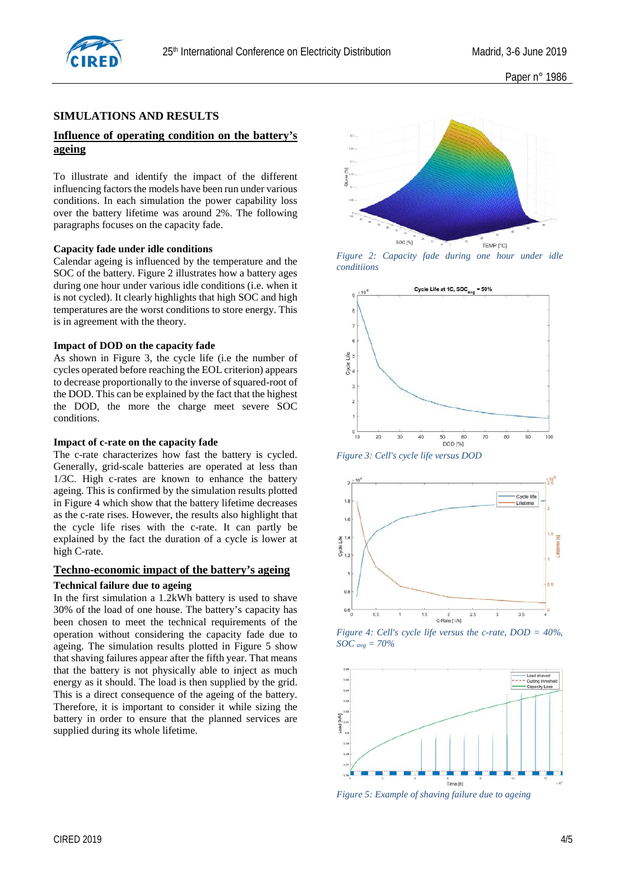

## **SIMULATIONS AND RESULTS**

# **Influence of operating condition on the battery's ageing**

To illustrate and identify the impact of the different influencing factors the models have been run under various conditions. In each simulation the power capability loss over the battery lifetime was around 2%. The following paragraphs focuses on the capacity fade.

#### **Capacity fade under idle conditions**

Calendar ageing is influenced by the temperature and the SOC of the battery. [Figure 2](#page-3-0) illustrates how a battery ages during one hour under various idle conditions (i.e. when it is not cycled). It clearly highlights that high SOC and high temperatures are the worst conditions to store energy. This is in agreement with the theory.

#### **Impact of DOD on the capacity fade**

As shown in [Figure 3,](#page-3-1) the cycle life (i.e the number of cycles operated before reaching the EOL criterion) appears to decrease proportionally to the inverse of squared-root of the DOD. This can be explained by the fact that the highest the DOD, the more the charge meet severe SOC conditions.

#### **Impact of c-rate on the capacity fade**

The c-rate characterizes how fast the battery is cycled. Generally, grid-scale batteries are operated at less than 1/3C. High c-rates are known to enhance the battery ageing. This is confirmed by the simulation results plotted in [Figure 4](#page-3-2) which show that the battery lifetime decreases as the c-rate rises. However, the results also highlight that the cycle life rises with the c-rate. It can partly be explained by the fact the duration of a cycle is lower at high C-rate.

#### **Techno-economic impact of the battery's ageing**

#### **Technical failure due to ageing**

In the first simulation a 1.2kWh battery is used to shave 30% of the load of one house. The battery's capacity has been chosen to meet the technical requirements of the operation without considering the capacity fade due to ageing. The simulation results plotted in [Figure 5](#page-3-3) show that shaving failures appear after the fifth year. That means that the battery is not physically able to inject as much energy as it should. The load is then supplied by the grid. This is a direct consequence of the ageing of the battery. Therefore, it is important to consider it while sizing the battery in order to ensure that the planned services are supplied during its whole lifetime.



*Figure 2: Capacity fade during one hour under idle conditiions*

<span id="page-3-0"></span>

<span id="page-3-1"></span>*Figure 3: Cell's cycle life versus DOD*



<span id="page-3-2"></span>*Figure 4: Cell's cycle life versus the c-rate, DOD = 40%, SOC avg = 70%*



<span id="page-3-3"></span>*Figure 5: Example of shaving failure due to ageing*